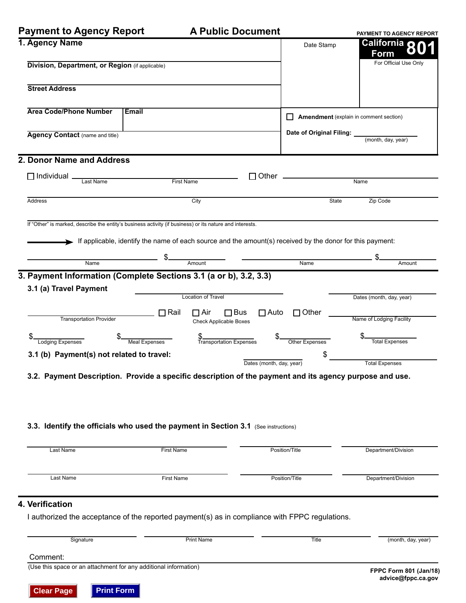**Payment to Agency Report**

|  | <b>A Public Document</b> |
|--|--------------------------|
|--|--------------------------|

| Payment to Agency Report                                                                                 |                   | A Public Document                                                                                         |                                                             | PAYMENT TO AGENCY REPORT               |
|----------------------------------------------------------------------------------------------------------|-------------------|-----------------------------------------------------------------------------------------------------------|-------------------------------------------------------------|----------------------------------------|
| 1. Agency Name<br>Division, Department, or Region (if applicable)                                        |                   |                                                                                                           | Date Stamp                                                  | <b>California Q</b><br><b>Form</b>     |
|                                                                                                          |                   |                                                                                                           |                                                             | For Official Use Only                  |
| <b>Street Address</b>                                                                                    |                   |                                                                                                           |                                                             |                                        |
| <b>Area Code/Phone Number</b>                                                                            | <b>Email</b>      |                                                                                                           |                                                             | Amendment (explain in comment section) |
| Agency Contact (name and title)                                                                          |                   |                                                                                                           | Date of Original Filing: ____________<br>(month, day, year) |                                        |
| 2. Donor Name and Address                                                                                |                   |                                                                                                           |                                                             |                                        |
| $\Box$ Individual $\Box$<br>Last Name                                                                    |                   | Other<br>П<br>First Name                                                                                  |                                                             | Name                                   |
| Address                                                                                                  |                   | City                                                                                                      | <b>State</b>                                                | Zip Code                               |
| If "Other" is marked, describe the entity's business activity (if business) or its nature and interests. |                   |                                                                                                           |                                                             |                                        |
|                                                                                                          |                   | If applicable, identify the name of each source and the amount(s) received by the donor for this payment: |                                                             |                                        |
|                                                                                                          |                   |                                                                                                           |                                                             |                                        |
| Name                                                                                                     |                   | Amount                                                                                                    | Name                                                        | Amount                                 |
| 3. Payment Information (Complete Sections 3.1 (a or b), 3.2, 3.3)                                        |                   |                                                                                                           |                                                             |                                        |
| 3.1 (a) Travel Payment                                                                                   |                   |                                                                                                           |                                                             |                                        |
|                                                                                                          |                   | <b>Location of Travel</b>                                                                                 |                                                             | Dates (month, day, year)               |
| <b>Transportation Provider</b>                                                                           | $\Box$ Rail       | $\Box$ Air<br>$\Box$ Bus<br>$\Box$ Auto<br><b>Check Applicable Boxes</b>                                  | $\Box$ Other                                                | Name of Lodging Facility               |
| Lodging Expenses                                                                                         | Meal Expenses     | \$<br>Transportation Expenses                                                                             | Other Expenses                                              | <b>Total Expenses</b>                  |
| 3.1 (b) Payment(s) not related to travel:                                                                |                   | Dates (month, day, year)                                                                                  |                                                             | <b>Total Expenses</b>                  |
|                                                                                                          |                   | 3.2. Payment Description. Provide a specific description of the payment and its agency purpose and use.   |                                                             |                                        |
|                                                                                                          |                   |                                                                                                           |                                                             |                                        |
|                                                                                                          |                   |                                                                                                           |                                                             |                                        |
|                                                                                                          |                   |                                                                                                           |                                                             |                                        |
|                                                                                                          |                   | 3.3. Identify the officials who used the payment in Section 3.1 (See instructions)                        |                                                             |                                        |
| Last Name                                                                                                | <b>First Name</b> |                                                                                                           | Position/Title                                              | Department/Division                    |
| Last Name                                                                                                | <b>First Name</b> |                                                                                                           | Position/Title                                              | Department/Division                    |
| 4. Verification                                                                                          |                   |                                                                                                           |                                                             |                                        |
|                                                                                                          |                   | I authorized the acceptance of the reported payment(s) as in compliance with FPPC regulations.            |                                                             |                                        |
| Signature                                                                                                |                   | <b>Print Name</b>                                                                                         | <b>Title</b>                                                | (month, day, year)                     |
| Comment:                                                                                                 |                   |                                                                                                           |                                                             |                                        |
|                                                                                                          |                   |                                                                                                           |                                                             |                                        |

(Use this space or an attachment for any additional information)